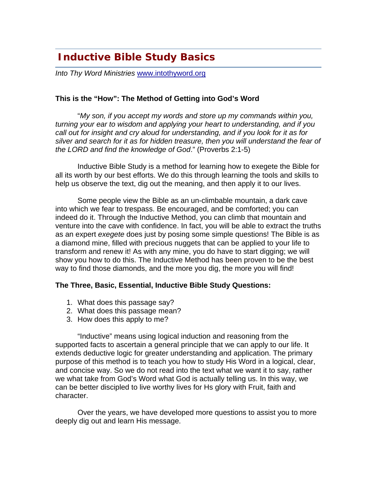# *Inductive Bible Study Basics*

*Into Thy Word Ministries* www.intothyword.org

# **This is the "How": The Method of Getting into God's Word**

"*My son, if you accept my words and store up my commands within you, turning your ear to wisdom and applying your heart to understanding, and if you call out for insight and cry aloud for understanding, and if you look for it as for silver and search for it as for hidden treasure, then you will understand the fear of the LORD and find the knowledge of God*." (Proverbs 2:1-5)

Inductive Bible Study is a method for learning how to exegete the Bible for all its worth by our best efforts. We do this through learning the tools and skills to help us observe the text, dig out the meaning, and then apply it to our lives.

Some people view the Bible as an un-climbable mountain, a dark cave into which we fear to trespass. Be encouraged, and be comforted; you can indeed do it. Through the Inductive Method, you can climb that mountain and venture into the cave with confidence. In fact, you will be able to extract the truths as an expert *exegete* does just by posing some simple questions! The Bible is as a diamond mine, filled with precious nuggets that can be applied to your life to transform and renew it! As with any mine, you do have to start digging; we will show you how to do this. The Inductive Method has been proven to be the best way to find those diamonds, and the more you dig, the more you will find!

#### **The Three, Basic, Essential, Inductive Bible Study Questions:**

- 1. What does this passage say?
- 2. What does this passage mean?
- 3. How does this apply to me?

"Inductive" means using logical induction and reasoning from the supported facts to ascertain a general principle that we can apply to our life. It extends deductive logic for greater understanding and application. The primary purpose of this method is to teach you how to study His Word in a logical, clear, and concise way. So we do not read into the text what we want it to say, rather we what take from God's Word what God is actually telling us. In this way, we can be better discipled to live worthy lives for Hs glory with Fruit, faith and character.

Over the years, we have developed more questions to assist you to more deeply dig out and learn His message.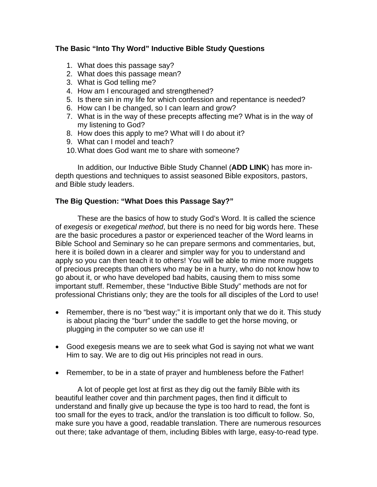# **The Basic "Into Thy Word" Inductive Bible Study Questions**

- 1. What does this passage say?
- 2. What does this passage mean?
- 3. What is God telling me?
- 4. How am I encouraged and strengthened?
- 5. Is there sin in my life for which confession and repentance is needed?
- 6. How can I be changed, so I can learn and grow?
- 7. What is in the way of these precepts affecting me? What is in the way of my listening to God?
- 8. How does this apply to me? What will I do about it?
- 9. What can I model and teach?
- 10. What does God want me to share with someone?

In addition, our Inductive Bible Study Channel (**ADD LINK**) has more indepth questions and techniques to assist seasoned Bible expositors, pastors, and Bible study leaders.

#### **The Big Question: "What Does this Passage Say?"**

These are the basics of how to study God's Word. It is called the science of *exegesis* or *exegetical method*, but there is no need for big words here. These are the basic procedures a pastor or experienced teacher of the Word learns in Bible School and Seminary so he can prepare sermons and commentaries, but, here it is boiled down in a clearer and simpler way for you to understand and apply so you can then teach it to others! You will be able to mine more nuggets of precious precepts than others who may be in a hurry, who do not know how to go about it, or who have developed bad habits, causing them to miss some important stuff. Remember, these "Inductive Bible Study" methods are not for professional Christians only; they are the tools for all disciples of the Lord to use!

- Remember, there is no "best way;" it is important only that we do it. This study is about placing the "burr" under the saddle to get the horse moving, or plugging in the computer so we can use it!
- Good exegesis means we are to seek what God is saying not what we want Him to say. We are to dig out His principles not read in ours.
- Remember, to be in a state of prayer and humbleness before the Father!

A lot of people get lost at first as they dig out the family Bible with its beautiful leather cover and thin parchment pages, then find it difficult to understand and finally give up because the type is too hard to read, the font is too small for the eyes to track, and/or the translation is too difficult to follow. So, make sure you have a good, readable translation. There are numerous resources out there; take advantage of them, including Bibles with large, easy-to-read type.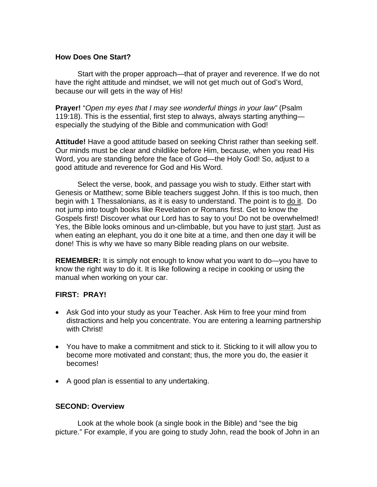# **How Does One Start?**

Start with the proper approach—that of prayer and reverence. If we do not have the right attitude and mindset, we will not get much out of God's Word, because our will gets in the way of His!

**Prayer!** "*Open my eyes that I may see wonderful things in your law"* (Psalm 119:18). This is the essential, first step to always, always starting anything especially the studying of the Bible and communication with God!

**Attitude!** Have a good attitude based on seeking Christ rather than seeking self. Our minds must be clear and childlike before Him, because, when you read His Word, you are standing before the face of God—the Holy God! So, adjust to a good attitude and reverence for God and His Word.

Select the verse, book, and passage you wish to study. Either start with Genesis or Matthew; some Bible teachers suggest John. If this is too much, then begin with 1 Thessalonians, as it is easy to understand. The point is to do it. Do not jump into tough books like Revelation or Romans first. Get to know the Gospels first! Discover what our Lord has to say to you! Do not be overwhelmed! Yes, the Bible looks ominous and un-climbable, but you have to just start. Just as when eating an elephant, you do it one bite at a time, and then one day it will be done! This is why we have so many Bible reading plans on our website.

**REMEMBER:** It is simply not enough to know what you want to do—you have to know the right way to do it. It is like following a recipe in cooking or using the manual when working on your car.

## **FIRST: PRAY!**

- Ask God into your study as your Teacher. Ask Him to free your mind from distractions and help you concentrate. You are entering a learning partnership with Christ!
- You have to make a commitment and stick to it. Sticking to it will allow you to become more motivated and constant; thus, the more you do, the easier it becomes!
- A good plan is essential to any undertaking.

## **SECOND: Overview**

Look at the whole book (a single book in the Bible) and "see the big picture." For example, if you are going to study John, read the book of John in an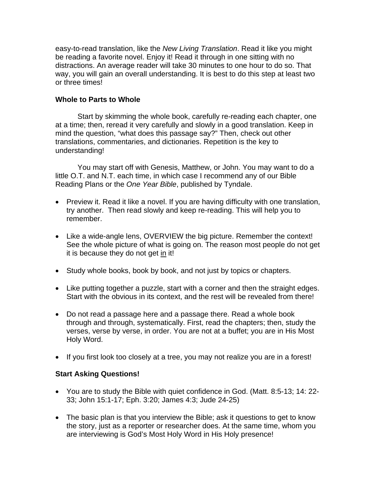easy-to-read translation, like the *New Living Translation*. Read it like you might be reading a favorite novel. Enjoy it! Read it through in one sitting with no distractions. An average reader will take 30 minutes to one hour to do so. That way, you will gain an overall understanding. It is best to do this step at least two or three times!

## **Whole to Parts to Whole**

Start by skimming the whole book, carefully re-reading each chapter, one at a time; then, reread it very carefully and slowly in a good translation. Keep in mind the question, "what does this passage say?" Then, check out other translations, commentaries, and dictionaries. Repetition is the key to understanding!

You may start off with Genesis, Matthew, or John. You may want to do a little O.T. and N.T. each time, in which case I recommend any of our Bible Reading Plans or the *One Year Bible*, published by Tyndale.

- Preview it. Read it like a novel. If you are having difficulty with one translation, try another. Then read slowly and keep re-reading. This will help you to remember.
- Like a wide-angle lens, OVERVIEW the big picture. Remember the context! See the whole picture of what is going on. The reason most people do not get it is because they do not get in it!
- Study whole books, book by book, and not just by topics or chapters.
- Like putting together a puzzle, start with a corner and then the straight edges. Start with the obvious in its context, and the rest will be revealed from there!
- Do not read a passage here and a passage there. Read a whole book through and through, systematically. First, read the chapters; then, study the verses, verse by verse, in order. You are not at a buffet; you are in His Most Holy Word.
- If you first look too closely at a tree, you may not realize you are in a forest!

## **Start Asking Questions!**

- You are to study the Bible with quiet confidence in God. (Matt. 8:5-13; 14: 22- 33; John 15:1-17; Eph. 3:20; James 4:3; Jude 24-25)
- The basic plan is that you interview the Bible; ask it questions to get to know the story, just as a reporter or researcher does. At the same time, whom you are interviewing is God's Most Holy Word in His Holy presence!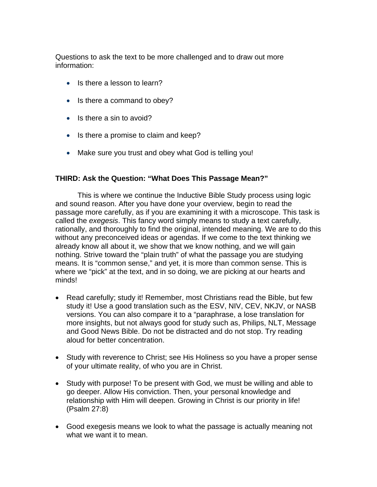Questions to ask the text to be more challenged and to draw out more information:

- Is there a lesson to learn?
- Is there a command to obey?
- Is there a sin to avoid?
- Is there a promise to claim and keep?
- Make sure you trust and obey what God is telling you!

## **THIRD: Ask the Question: "What Does This Passage Mean?"**

This is where we continue the Inductive Bible Study process using logic and sound reason. After you have done your overview, begin to read the passage more carefully, as if you are examining it with a microscope. This task is called the *exegesis*. This fancy word simply means to study a text carefully, rationally, and thoroughly to find the original, intended meaning. We are to do this without any preconceived ideas or agendas. If we come to the text thinking we already know all about it, we show that we know nothing, and we will gain nothing. Strive toward the "plain truth" of what the passage you are studying means. It is "common sense," and yet, it is more than common sense. This is where we "pick" at the text, and in so doing, we are picking at our hearts and minds!

- Read carefully; study it! Remember, most Christians read the Bible, but few study it! Use a good translation such as the ESV, NIV, CEV, NKJV, or NASB versions. You can also compare it to a "paraphrase, a lose translation for more insights, but not always good for study such as, Philips, NLT, Message and Good News Bible. Do not be distracted and do not stop. Try reading aloud for better concentration.
- Study with reverence to Christ; see His Holiness so you have a proper sense of your ultimate reality, of who you are in Christ.
- Study with purpose! To be present with God, we must be willing and able to go deeper. Allow His conviction. Then, your personal knowledge and relationship with Him will deepen. Growing in Christ is our priority in life! (Psalm 27:8)
- Good exegesis means we look to what the passage is actually meaning not what we want it to mean.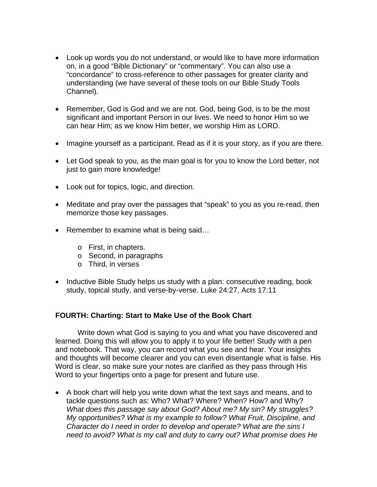- Look up words you do not understand, or would like to have more information on, in a good "Bible Dictionary" or "commentary". You can also use a "concordance" to cross-reference to other passages for greater clarity and understanding (we have several of these tools on our Bible Study Tools Channel).
- Remember, God is God and we are not. God, being God, is to be the most significant and important Person in our lives. We need to honor Him so we can hear Him; as we know Him better, we worship Him as LORD.
- Imagine yourself as a participant. Read as if it is your story, as if you are there.
- Let God speak to you, as the main goal is for you to know the Lord better, not just to gain more knowledge!
- Look out for topics, logic, and direction.
- Meditate and pray over the passages that "speak" to you as you re-read, then memorize those key passages.
- Remember to examine what is being said...
	- o First, in chapters.
	- o Second, in paragraphs
	- o Third, in verses
- Inductive Bible Study helps us study with a plan: consecutive reading, book study, topical study, and verse-by-verse. Luke 24:27, Acts 17:11

## **FOURTH: Charting: Start to Make Use of the Book Chart**

 Write down what God is saying to you and what you have discovered and learned. Doing this will allow you to apply it to your life better! Study with a pen and notebook. That way, you can record what you see and hear. Your insights and thoughts will become clearer and you can even disentangle what is false. His Word is clear, so make sure your notes are clarified as they pass through His Word to your fingertips onto a page for present and future use.

• A book chart will help you write down what the text says and means, and to tackle questions such as: Who? What? Where? When? How? and Why? *What does this passage say about God? About me? My sin? My struggles? My opportunities? What is my example to follow? What Fruit, Discipline, and Character do I need in order to develop and operate? What are the sins I need to avoid? What is my call and duty to carry out? What promise does He*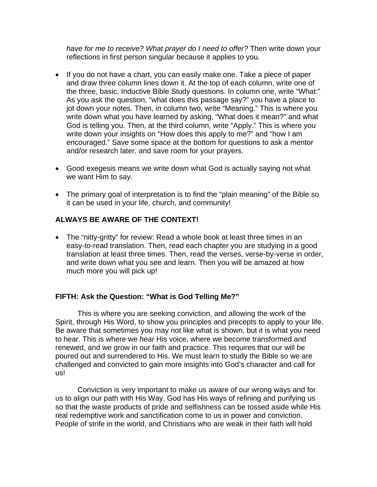*have for me to receive? What prayer do I need to offer?* Then write down your reflections in first person singular because it applies to you.

- If you do not have a chart, you can easily make one. Take a piece of paper and draw three column lines down it. At the top of each column, write one of the three, basic, Inductive Bible Study questions. In column one, write "What:" As you ask the question, "what does this passage say?" you have a place to jot down your notes. Then, in column two, write "Meaning." This is where you write down what you have learned by asking, "What does it mean?" and what God is telling you. Then, at the third column, write "Apply." This is where you write down your insights on "How does this apply to me?" and "how I am encouraged." Save some space at the bottom for questions to ask a mentor and/or research later, and save room for your prayers.
- Good exegesis means we write down what God is actually saying not what we want Him to say.
- The primary goal of interpretation is to find the "plain meaning" of the Bible so it can be used in your life, church, and community!

# **ALWAYS BE AWARE OF THE CONTEXT!**

• The "nitty-gritty" for review: Read a whole book at least three times in an easy-to-read translation. Then, read each chapter you are studying in a good translation at least three times. Then, read the verses, verse-by-verse in order, and write down what you see and learn. Then you will be amazed at how much more you will pick up!

## **FIFTH: Ask the Question: "What is God Telling Me?"**

This is where you are seeking conviction, and allowing the work of the Spirit, through His Word, to show you principles and precepts to apply to your life. Be aware that sometimes you may not like what is shown, but it is what you need to hear. This is where we *hear* His voice, where we become transformed and renewed, and we grow in our faith and practice. This requires that our will be poured out and surrendered to His. We must learn to study the Bible so we are challenged and convicted to gain more insights into God's character and call for us!

Conviction is very important to make us aware of our wrong ways and for us to align our path with His Way. God has His ways of refining and purifying us so that the waste products of pride and selfishness can be tossed aside while His real redemptive work and sanctification come to us in power and conviction. People of strife in the world, and Christians who are weak in their faith will hold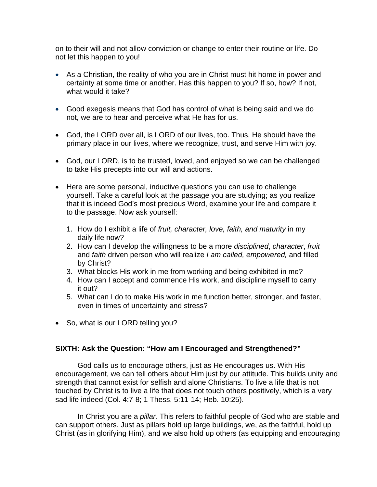on to their will and not allow conviction or change to enter their routine or life. Do not let this happen to you!

- As a Christian, the reality of who you are in Christ must hit home in power and certainty at some time or another. Has this happen to you? If so, how? If not, what would it take?
- Good exegesis means that God has control of what is being said and we do not, we are to hear and perceive what He has for us.
- God, the LORD over all, is LORD of our lives, too. Thus, He should have the primary place in our lives, where we recognize, trust, and serve Him with joy.
- God, our LORD, is to be trusted, loved, and enjoyed so we can be challenged to take His precepts into our will and actions.
- Here are some personal, inductive questions you can use to challenge yourself. Take a careful look at the passage you are studying; as you realize that it is indeed God's most precious Word, examine your life and compare it to the passage. Now ask yourself:
	- 1. How do I exhibit a life of *fruit, character, love, faith, and maturity* in my daily life now?
	- 2. How can I develop the willingness to be a more *disciplined*, *character*, *fruit* and *faith* driven person who will realize *I am called, empowered,* and filled by Christ?
	- 3. What blocks His work in me from working and being exhibited in me?
	- 4. How can I accept and commence His work, and discipline myself to carry it out?
	- 5. What can I do to make His work in me function better, stronger, and faster, even in times of uncertainty and stress?
- So, what is our LORD telling you?

## **SIXTH: Ask the Question: "How am I Encouraged and Strengthened?"**

God calls us to encourage others, just as He encourages us. With His encouragement, we can tell others about Him just by our attitude. This builds unity and strength that cannot exist for selfish and alone Christians. To live a life that is not touched by Christ is to live a life that does not touch others positively, which is a very sad life indeed (Col. 4:7-8; 1 Thess. 5:11-14; Heb. 10:25).

In Christ you are a *pillar.* This refers to faithful people of God who are stable and can support others. Just as pillars hold up large buildings, we, as the faithful, hold up Christ (as in glorifying Him), and we also hold up others (as equipping and encouraging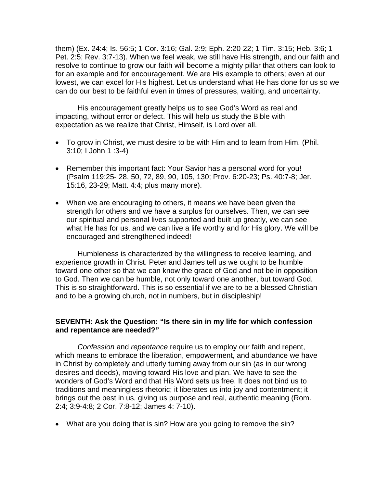them) (Ex. 24:4; Is. 56:5; 1 Cor. 3:16; Gal. 2:9; Eph. 2:20-22; 1 Tim. 3:15; Heb. 3:6; 1 Pet. 2:5; Rev. 3:7-13). When we feel weak, we still have His strength, and our faith and resolve to continue to grow our faith will become a mighty pillar that others can look to for an example and for encouragement. We are His example to others; even at our lowest, we can excel for His highest. Let us understand what He has done for us so we can do our best to be faithful even in times of pressures, waiting, and uncertainty.

His encouragement greatly helps us to see God's Word as real and impacting, without error or defect. This will help us study the Bible with expectation as we realize that Christ, Himself, is Lord over all.

- To grow in Christ, we must desire to be with Him and to learn from Him. (Phil. 3:10; I John 1 :3-4)
- Remember this important fact: Your Savior has a personal word for you! (Psalm 119:25- 28, 50, 72, 89, 90, 105, 130; Prov. 6:20-23; Ps. 40:7-8; Jer. 15:16, 23-29; Matt. 4:4; plus many more).
- When we are encouraging to others, it means we have been given the strength for others and we have a surplus for ourselves. Then, we can see our spiritual and personal lives supported and built up greatly, we can see what He has for us, and we can live a life worthy and for His glory. We will be encouraged and strengthened indeed!

Humbleness is characterized by the willingness to receive learning, and experience growth in Christ. Peter and James tell us we ought to be humble toward one other so that we can know the grace of God and not be in opposition to God. Then we can be humble, not only toward one another, but toward God. This is so straightforward. This is so essential if we are to be a blessed Christian and to be a growing church, not in numbers, but in discipleship!

#### **SEVENTH: Ask the Question: "Is there sin in my life for which confession and repentance are needed?"**

*Confession* and *repentance* require us to employ our faith and repent, which means to embrace the liberation, empowerment, and abundance we have in Christ by completely and utterly turning away from our sin (as in our wrong desires and deeds), moving toward His love and plan. We have to see the wonders of God's Word and that His Word sets us free. It does not bind us to traditions and meaningless rhetoric; it liberates us into joy and contentment; it brings out the best in us, giving us purpose and real, authentic meaning (Rom. 2:4; 3:9-4:8; 2 Cor. 7:8-12; James 4: 7-10).

• What are you doing that is sin? How are you going to remove the sin?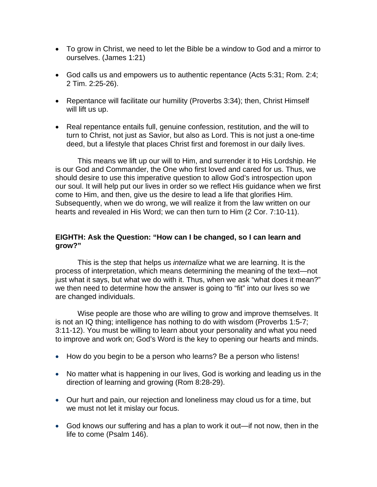- To grow in Christ, we need to let the Bible be a window to God and a mirror to ourselves. (James 1:21)
- God calls us and empowers us to authentic repentance (Acts 5:31; Rom. 2:4; 2 Tim. 2:25-26).
- Repentance will facilitate our humility (Proverbs 3:34); then, Christ Himself will lift us up.
- Real repentance entails full, genuine confession, restitution, and the will to turn to Christ, not just as Savior, but also as Lord. This is not just a one-time deed, but a lifestyle that places Christ first and foremost in our daily lives.

 This means we lift up our will to Him, and surrender it to His Lordship. He is our God and Commander, the One who first loved and cared for us. Thus, we should desire to use this imperative question to allow God's introspection upon our soul. It will help put our lives in order so we reflect His guidance when we first come to Him, and then, give us the desire to lead a life that glorifies Him. Subsequently, when we do wrong, we will realize it from the law written on our hearts and revealed in His Word; we can then turn to Him (2 Cor. 7:10-11).

# **EIGHTH: Ask the Question: "How can I be changed, so I can learn and grow?"**

This is the step that helps us *internalize* what we are learning. It is the process of interpretation, which means determining the meaning of the text—not just what it says, but what we do with it. Thus, when we ask "what does it mean?" we then need to determine how the answer is going to "fit" into our lives so we are changed individuals.

Wise people are those who are willing to grow and improve themselves. It is not an IQ thing; intelligence has nothing to do with wisdom (Proverbs 1:5-7; 3:11-12). You must be willing to learn about your personality and what you need to improve and work on; God's Word is the key to opening our hearts and minds.

- How do you begin to be a person who learns? Be a person who listens!
- No matter what is happening in our lives, God is working and leading us in the direction of learning and growing (Rom 8:28-29).
- Our hurt and pain, our rejection and loneliness may cloud us for a time, but we must not let it mislay our focus.
- God knows our suffering and has a plan to work it out—if not now, then in the life to come (Psalm 146).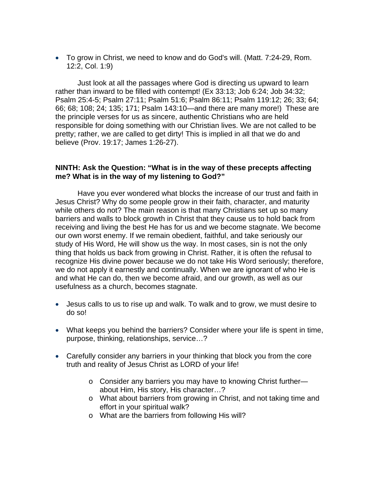• To grow in Christ, we need to know and do God's will. (Matt. 7:24-29, Rom. 12:2, Col. 1:9)

Just look at all the passages where God is directing us upward to learn rather than inward to be filled with contempt! (Ex 33:13; Job 6:24; Job 34:32; Psalm 25:4-5; Psalm 27:11; Psalm 51:6; Psalm 86:11; Psalm 119:12; 26; 33; 64; 66; 68; 108; 24; 135; 171; Psalm 143:10—and there are many more!) These are the principle verses for us as sincere, authentic Christians who are held responsible for doing something with our Christian lives. We are not called to be pretty; rather, we are called to get dirty! This is implied in all that we do and believe (Prov. 19:17; James 1:26-27).

#### **NINTH: Ask the Question: "What is in the way of these precepts affecting me? What is in the way of my listening to God?"**

Have you ever wondered what blocks the increase of our trust and faith in Jesus Christ? Why do some people grow in their faith, character, and maturity while others do not? The main reason is that many Christians set up so many barriers and walls to block growth in Christ that they cause us to hold back from receiving and living the best He has for us and we become stagnate. We become our own worst enemy. If we remain obedient, faithful, and take seriously our study of His Word, He will show us the way. In most cases, sin is not the only thing that holds us back from growing in Christ. Rather, it is often the refusal to recognize His divine power because we do not take His Word seriously; therefore, we do not apply it earnestly and continually. When we are ignorant of who He is and what He can do, then we become afraid, and our growth, as well as our usefulness as a church, becomes stagnate.

- Jesus calls to us to rise up and walk. To walk and to grow, we must desire to do so!
- What keeps you behind the barriers? Consider where your life is spent in time, purpose, thinking, relationships, service…?
- Carefully consider any barriers in your thinking that block you from the core truth and reality of Jesus Christ as LORD of your life!
	- o Consider any barriers you may have to knowing Christ further about Him, His story, His character…?
	- o What about barriers from growing in Christ, and not taking time and effort in your spiritual walk?
	- o What are the barriers from following His will?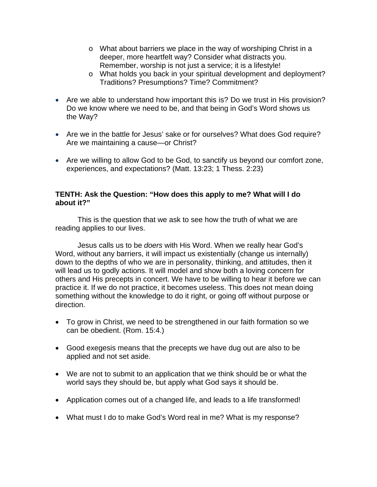- o What about barriers we place in the way of worshiping Christ in a deeper, more heartfelt way? Consider what distracts you. Remember, worship is not just a service; it is a lifestyle!
- o What holds you back in your spiritual development and deployment? Traditions? Presumptions? Time? Commitment?
- Are we able to understand how important this is? Do we trust in His provision? Do we know where we need to be, and that being in God's Word shows us the Way?
- Are we in the battle for Jesus' sake or for ourselves? What does God require? Are we maintaining a cause—or Christ?
- Are we willing to allow God to be God, to sanctify us beyond our comfort zone, experiences, and expectations? (Matt. 13:23; 1 Thess. 2:23)

# **TENTH: Ask the Question: "How does this apply to me? What will I do about it?"**

 This is the question that we ask to see how the truth of what we are reading applies to our lives.

Jesus calls us to be *doers* with His Word. When we really hear God's Word, without any barriers, it will impact us existentially (change us internally) down to the depths of who we are in personality, thinking, and attitudes, then it will lead us to godly actions. It will model and show both a loving concern for others and His precepts in concert. We have to be willing to hear it before we can practice it. If we do not practice, it becomes useless. This does not mean doing something without the knowledge to do it right, or going off without purpose or direction.

- To grow in Christ, we need to be strengthened in our faith formation so we can be obedient. (Rom. 15:4.)
- Good exegesis means that the precepts we have dug out are also to be applied and not set aside.
- We are not to submit to an application that we think should be or what the world says they should be, but apply what God says it should be.
- Application comes out of a changed life, and leads to a life transformed!
- What must I do to make God's Word real in me? What is my response?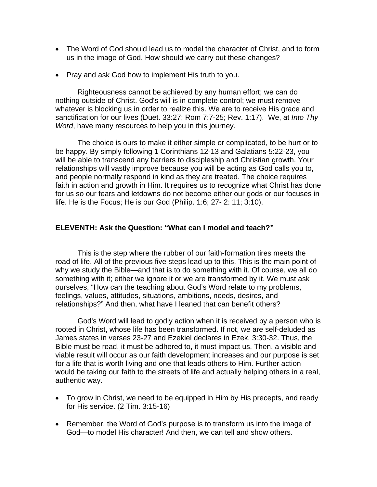- The Word of God should lead us to model the character of Christ, and to form us in the image of God. How should we carry out these changes?
- Pray and ask God how to implement His truth to you.

 Righteousness cannot be achieved by any human effort; we can do nothing outside of Christ. God's will is in complete control; we must remove whatever is blocking us in order to realize this. We are to receive His grace and sanctification for our lives (Duet. 33:27; Rom 7:7-25; Rev. 1:17). We, at *Into Thy Word*, have many resources to help you in this journey.

 The choice is ours to make it either simple or complicated, to be hurt or to be happy. By simply following 1 Corinthians 12-13 and Galatians 5:22-23, you will be able to transcend any barriers to discipleship and Christian growth. Your relationships will vastly improve because you will be acting as God calls you to, and people normally respond in kind as they are treated. The choice requires faith in action and growth in Him. It requires us to recognize what Christ has done for us so our fears and letdowns do not become either our gods or our focuses in life. He is the Focus; He is our God (Philip. 1:6; 27- 2: 11; 3:10).

# **ELEVENTH: Ask the Question: "What can I model and teach?"**

 This is the step where the rubber of our faith-formation tires meets the road of life. All of the previous five steps lead up to this. This is the main point of why we study the Bible—and that is to do something with it. Of course, we all do something with it; either we ignore it or we are transformed by it. We must ask ourselves, "How can the teaching about God's Word relate to my problems, feelings, values, attitudes, situations, ambitions, needs, desires, and relationships?" And then, what have I leaned that can benefit others?

God's Word will lead to godly action when it is received by a person who is rooted in Christ, whose life has been transformed. If not, we are self-deluded as James states in verses 23-27 and Ezekiel declares in Ezek. 3:30-32. Thus, the Bible must be read, it must be adhered to, it must impact us. Then, a visible and viable result will occur as our faith development increases and our purpose is set for a life that is worth living and one that leads others to Him. Further action would be taking our faith to the streets of life and actually helping others in a real, authentic way.

- To grow in Christ, we need to be equipped in Him by His precepts, and ready for His service. (2 Tim. 3:15-16)
- Remember, the Word of God's purpose is to transform us into the image of God—to model His character! And then, we can tell and show others.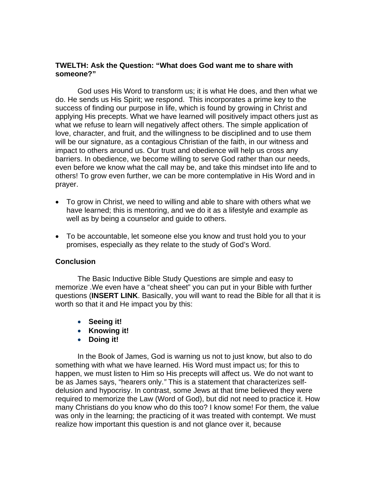#### **TWELTH: Ask the Question: "What does God want me to share with someone?"**

God uses His Word to transform us; it is what He does, and then what we do. He sends us His Spirit; we respond. This incorporates a prime key to the success of finding our purpose in life, which is found by growing in Christ and applying His precepts. What we have learned will positively impact others just as what we refuse to learn will negatively affect others. The simple application of love, character, and fruit, and the willingness to be disciplined and to use them will be our signature, as a contagious Christian of the faith, in our witness and impact to others around us. Our trust and obedience will help us cross any barriers. In obedience, we become willing to serve God rather than our needs, even before we know what the call may be, and take this mindset into life and to others! To grow even further, we can be more contemplative in His Word and in prayer.

- To grow in Christ, we need to willing and able to share with others what we have learned; this is mentoring, and we do it as a lifestyle and example as well as by being a counselor and guide to others.
- To be accountable, let someone else you know and trust hold you to your promises, especially as they relate to the study of God's Word.

## **Conclusion**

The Basic Inductive Bible Study Questions are simple and easy to memorize .We even have a "cheat sheet" you can put in your Bible with further questions (**INSERT LINK**. Basically, you will want to read the Bible for all that it is worth so that it and He impact you by this:

- **Seeing it!**
- **Knowing it!**
- **Doing it!**

 In the Book of James, God is warning us not to just know, but also to do something with what we have learned. His Word must impact us; for this to happen, we must listen to Him so His precepts will affect us. We do not want to be as James says, "hearers only.*"* This is a statement that characterizes selfdelusion and hypocrisy. In contrast, some Jews at that time believed they were required to memorize the Law (Word of God), but did not need to practice it. How many Christians do you know who do this too? I know some! For them, the value was only in the learning; the practicing of it was treated with contempt. We must realize how important this question is and not glance over it, because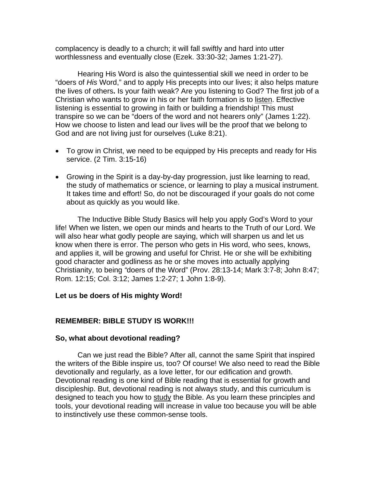complacency is deadly to a church; it will fall swiftly and hard into utter worthlessness and eventually close (Ezek. 33:30-32; James 1:21-27).

 Hearing His Word is also the quintessential skill we need in order to be "doers of *His* Word," and to apply His precepts into our lives; it also helps mature the lives of others**.** Is your faith weak? Are you listening to God? The first job of a Christian who wants to grow in his or her faith formation is to listen. Effective listening is essential to growing in faith or building a friendship! This must transpire so we can be "doers of the word and not hearers only" (James 1:22). How we choose to listen and lead our lives will be the proof that we belong to God and are not living just for ourselves (Luke 8:21).

- To grow in Christ, we need to be equipped by His precepts and ready for His service. (2 Tim. 3:15-16)
- Growing in the Spirit is a day-by-day progression, just like learning to read, the study of mathematics or science, or learning to play a musical instrument. It takes time and effort! So, do not be discouraged if your goals do not come about as quickly as you would like.

 The Inductive Bible Study Basics will help you apply God's Word to your life! When we listen, we open our minds and hearts to the Truth of our Lord. We will also hear what godly people are saying, which will sharpen us and let us know when there is error. The person who gets in His word, who sees, knows, and applies it, will be growing and useful for Christ. He or she will be exhibiting good character and godliness as he or she moves into actually applying Christianity, to being *"*doers of the Word" (Prov. 28:13-14; Mark 3:7-8; John 8:47; Rom. 12:15; Col. 3:12; James 1:2-27; 1 John 1:8-9).

## **Let us be doers of His mighty Word!**

## **REMEMBER: BIBLE STUDY IS WORK!!!**

## **So, what about devotional reading?**

Can we just read the Bible? After all, cannot the same Spirit that inspired the writers of the Bible inspire us, too? Of course! We also need to read the Bible devotionally and regularly, as a love letter, for our edification and growth. Devotional reading is one kind of Bible reading that is essential for growth and discipleship. But, devotional reading is not always study, and this curriculum is designed to teach you how to study the Bible. As you learn these principles and tools, your devotional reading will increase in value too because you will be able to instinctively use these common-sense tools.